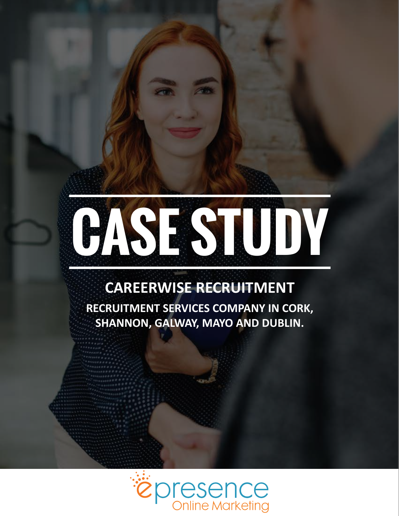

### **CAREERWISE RECRUITMENT**

**RECRUITMENT SERVICES COMPANY IN CORK, SHANNON, GALWAY, MAYO AND DUBLIN.**

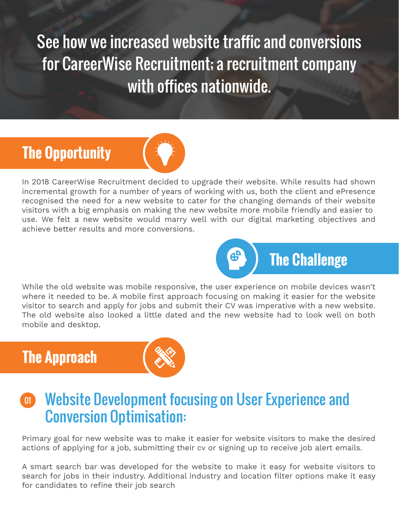See how we increased website traffic and conversions for CareerWise Recruitment; a recruitment company with offices nationwide.

### **The Opportunity**



In 2018 CareerWise Recruitment decided to upgrade their website. While results had shown incremental growth for a number of years of working with us, both the client and ePresence recognised the need for a new website to cater for the changing demands of their website visitors with a big emphasis on making the new website more mobile friendly and easier to use. We felt a new website would marry well with our digital marketing objectives and achieve better results and more conversions.



While the old website was mobile responsive, the user experience on mobile devices wasn't where it needed to be. A mobile first approach focusing on making it easier for the website visitor to search and apply for jobs and submit their CV was imperative with a new website. The old website also looked a little dated and the new website had to look well on both mobile and desktop.

### **The Approach**



#### Website Development focusing on User Experience and Conversion Optimisation:  $\boxed{01}$

Primary goal for new website was to make it easier for website visitors to make the desired actions of applying for a job, submitting their cv or signing up to receive job alert emails.

A smart search bar was developed for the website to make it easy for website visitors to search for jobs in their industry. Additional industry and location filter options make it easy for candidates to refine their job search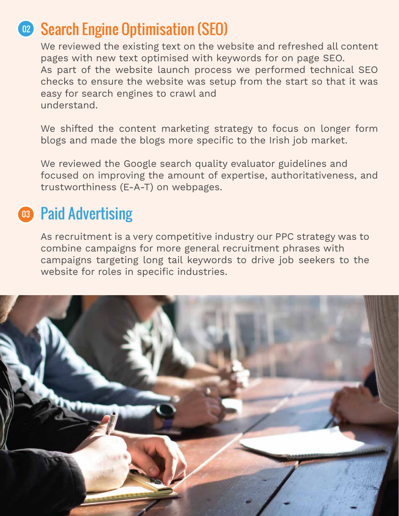### 02 Search Engine Optimisation (SEO)

We reviewed the existing text on the website and refreshed all content pages with new text optimised with keywords for on page SEO. As part of the website launch process we performed technical SEO checks to ensure the website was setup from the start so that it was easy for search engines to crawl and understand.

We shifted the content marketing strategy to focus on longer form blogs and made the blogs more specific to the Irish job market.

We reviewed the Google search quality evaluator guidelines and focused on improving the amount of expertise, authoritativeness, and trustworthiness (E-A-T) on webpages.

### 03 Paid Advertising

As recruitment is a very competitive industry our PPC strategy was to combine campaigns for more general recruitment phrases with campaigns targeting long tail keywords to drive job seekers to the website for roles in specific industries.

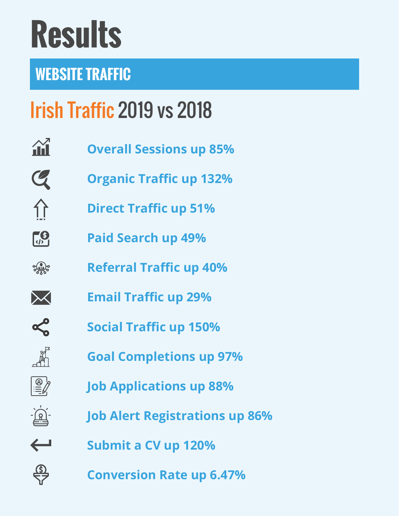# **Results**

### **WEBSITE TRAFFIC**

### Irish Traffic 2019 vs 2018

- $\mathbf{\hat{H}}$ **Overall Sessions up 85%**
- $\mathcal Q$ **Organic Traffic up 132%**
- 介 **Direct Traffic up 51%**
- $\left[\frac{6}{\sqrt{2}}\right]$ **Paid Search up 49%**
- 3500 **Referral Traffic up 40%**
- $\bigtimes$ **Email Traffic up 29%**

疏

 $\frac{1}{\sqrt{2}}$ 

 $\frac{\textcircled{s}}{\text{S}7}$ 

- $\alpha$ **Social Traffic up 150%**
	- **Goal Completions up 97%**
		- **Job Applications up 88%**
	- **Job Alert Registrations up 86%**
- $\leftarrow$ **Submit a CV up 120%**
	- **Conversion Rate up 6.47%**